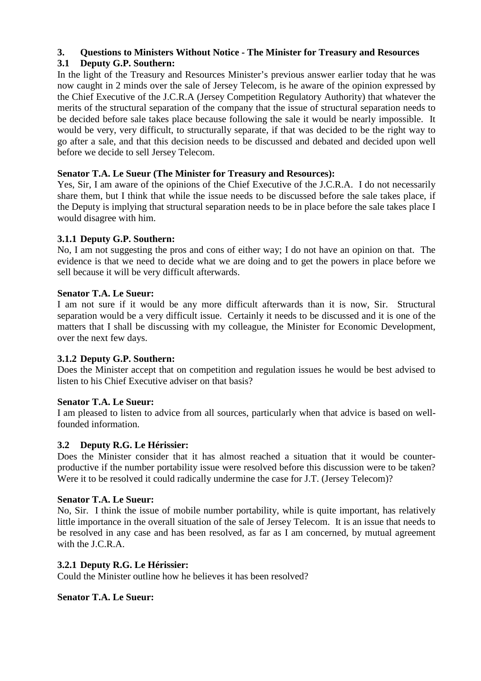# **3. Questions to Ministers Without Notice - The Minister for Treasury and Resources**

# **3.1 Deputy G.P. Southern:**

In the light of the Treasury and Resources Minister's previous answer earlier today that he was now caught in 2 minds over the sale of Jersey Telecom, is he aware of the opinion expressed by the Chief Executive of the J.C.R.A (Jersey Competition Regulatory Authority) that whatever the merits of the structural separation of the company that the issue of structural separation needs to be decided before sale takes place because following the sale it would be nearly impossible. It would be very, very difficult, to structurally separate, if that was decided to be the right way to go after a sale, and that this decision needs to be discussed and debated and decided upon well before we decide to sell Jersey Telecom.

# **Senator T.A. Le Sueur (The Minister for Treasury and Resources):**

Yes, Sir, I am aware of the opinions of the Chief Executive of the J.C.R.A. I do not necessarily share them, but I think that while the issue needs to be discussed before the sale takes place, if the Deputy is implying that structural separation needs to be in place before the sale takes place I would disagree with him.

# **3.1.1 Deputy G.P. Southern:**

No, I am not suggesting the pros and cons of either way; I do not have an opinion on that. The evidence is that we need to decide what we are doing and to get the powers in place before we sell because it will be very difficult afterwards.

# **Senator T.A. Le Sueur:**

I am not sure if it would be any more difficult afterwards than it is now, Sir. Structural separation would be a very difficult issue. Certainly it needs to be discussed and it is one of the matters that I shall be discussing with my colleague, the Minister for Economic Development, over the next few days.

# **3.1.2 Deputy G.P. Southern:**

Does the Minister accept that on competition and regulation issues he would be best advised to listen to his Chief Executive adviser on that basis?

# **Senator T.A. Le Sueur:**

I am pleased to listen to advice from all sources, particularly when that advice is based on wellfounded information.

# **3.2 Deputy R.G. Le Hérissier:**

Does the Minister consider that it has almost reached a situation that it would be counterproductive if the number portability issue were resolved before this discussion were to be taken? Were it to be resolved it could radically undermine the case for J.T. (Jersey Telecom)?

# **Senator T.A. Le Sueur:**

No, Sir. I think the issue of mobile number portability, while is quite important, has relatively little importance in the overall situation of the sale of Jersey Telecom. It is an issue that needs to be resolved in any case and has been resolved, as far as I am concerned, by mutual agreement with the J.C.R.A.

# **3.2.1 Deputy R.G. Le Hérissier:**

Could the Minister outline how he believes it has been resolved?

# **Senator T.A. Le Sueur:**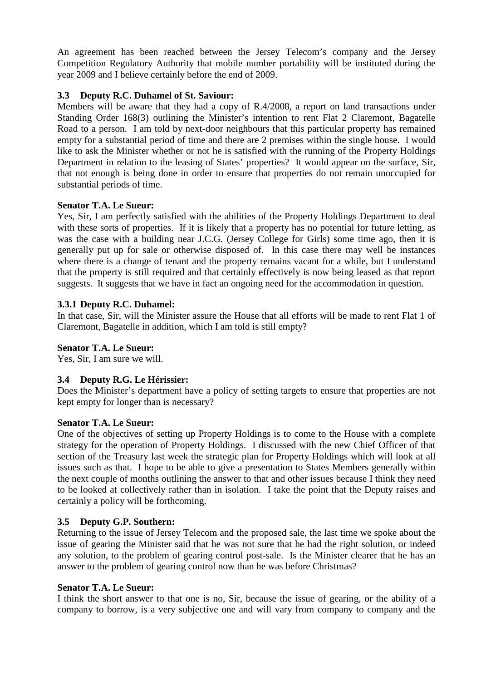An agreement has been reached between the Jersey Telecom's company and the Jersey Competition Regulatory Authority that mobile number portability will be instituted during the year 2009 and I believe certainly before the end of 2009.

## **3.3 Deputy R.C. Duhamel of St. Saviour:**

Members will be aware that they had a copy of R.4/2008, a report on land transactions under Standing Order 168(3) outlining the Minister's intention to rent Flat 2 Claremont, Bagatelle Road to a person. I am told by next-door neighbours that this particular property has remained empty for a substantial period of time and there are 2 premises within the single house. I would like to ask the Minister whether or not he is satisfied with the running of the Property Holdings Department in relation to the leasing of States' properties? It would appear on the surface, Sir, that not enough is being done in order to ensure that properties do not remain unoccupied for substantial periods of time.

## **Senator T.A. Le Sueur:**

Yes, Sir, I am perfectly satisfied with the abilities of the Property Holdings Department to deal with these sorts of properties. If it is likely that a property has no potential for future letting, as was the case with a building near J.C.G. (Jersey College for Girls) some time ago, then it is generally put up for sale or otherwise disposed of. In this case there may well be instances where there is a change of tenant and the property remains vacant for a while, but I understand that the property is still required and that certainly effectively is now being leased as that report suggests. It suggests that we have in fact an ongoing need for the accommodation in question.

## **3.3.1 Deputy R.C. Duhamel:**

In that case, Sir, will the Minister assure the House that all efforts will be made to rent Flat 1 of Claremont, Bagatelle in addition, which I am told is still empty?

## **Senator T.A. Le Sueur:**

Yes, Sir, I am sure we will.

## **3.4 Deputy R.G. Le Hérissier:**

Does the Minister's department have a policy of setting targets to ensure that properties are not kept empty for longer than is necessary?

## **Senator T.A. Le Sueur:**

One of the objectives of setting up Property Holdings is to come to the House with a complete strategy for the operation of Property Holdings. I discussed with the new Chief Officer of that section of the Treasury last week the strategic plan for Property Holdings which will look at all issues such as that. I hope to be able to give a presentation to States Members generally within the next couple of months outlining the answer to that and other issues because I think they need to be looked at collectively rather than in isolation. I take the point that the Deputy raises and certainly a policy will be forthcoming.

## **3.5 Deputy G.P. Southern:**

Returning to the issue of Jersey Telecom and the proposed sale, the last time we spoke about the issue of gearing the Minister said that he was not sure that he had the right solution, or indeed any solution, to the problem of gearing control post-sale. Is the Minister clearer that he has an answer to the problem of gearing control now than he was before Christmas?

## **Senator T.A. Le Sueur:**

I think the short answer to that one is no, Sir, because the issue of gearing, or the ability of a company to borrow, is a very subjective one and will vary from company to company and the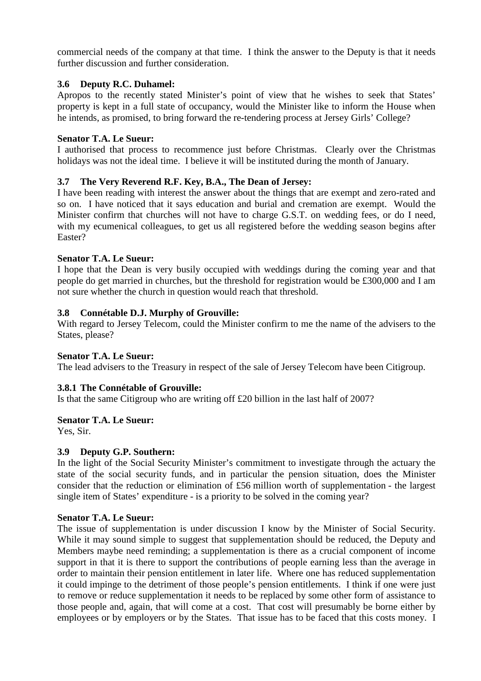commercial needs of the company at that time. I think the answer to the Deputy is that it needs further discussion and further consideration.

## **3.6 Deputy R.C. Duhamel:**

Apropos to the recently stated Minister's point of view that he wishes to seek that States' property is kept in a full state of occupancy, would the Minister like to inform the House when he intends, as promised, to bring forward the re-tendering process at Jersey Girls' College?

## **Senator T.A. Le Sueur:**

I authorised that process to recommence just before Christmas. Clearly over the Christmas holidays was not the ideal time. I believe it will be instituted during the month of January.

## **3.7 The Very Reverend R.F. Key, B.A., The Dean of Jersey:**

I have been reading with interest the answer about the things that are exempt and zero-rated and so on. I have noticed that it says education and burial and cremation are exempt. Would the Minister confirm that churches will not have to charge G.S.T. on wedding fees, or do I need, with my ecumenical colleagues, to get us all registered before the wedding season begins after Easter?

## **Senator T.A. Le Sueur:**

I hope that the Dean is very busily occupied with weddings during the coming year and that people do get married in churches, but the threshold for registration would be £300,000 and I am not sure whether the church in question would reach that threshold.

## **3.8 Connétable D.J. Murphy of Grouville:**

With regard to Jersey Telecom, could the Minister confirm to me the name of the advisers to the States, please?

## **Senator T.A. Le Sueur:**

The lead advisers to the Treasury in respect of the sale of Jersey Telecom have been Citigroup.

## **3.8.1 The Connétable of Grouville:**

Is that the same Citigroup who are writing off £20 billion in the last half of 2007?

## **Senator T.A. Le Sueur:**

Yes, Sir.

## **3.9 Deputy G.P. Southern:**

In the light of the Social Security Minister's commitment to investigate through the actuary the state of the social security funds, and in particular the pension situation, does the Minister consider that the reduction or elimination of £56 million worth of supplementation - the largest single item of States' expenditure - is a priority to be solved in the coming year?

## **Senator T.A. Le Sueur:**

The issue of supplementation is under discussion I know by the Minister of Social Security. While it may sound simple to suggest that supplementation should be reduced, the Deputy and Members maybe need reminding; a supplementation is there as a crucial component of income support in that it is there to support the contributions of people earning less than the average in order to maintain their pension entitlement in later life. Where one has reduced supplementation it could impinge to the detriment of those people's pension entitlements. I think if one were just to remove or reduce supplementation it needs to be replaced by some other form of assistance to those people and, again, that will come at a cost. That cost will presumably be borne either by employees or by employers or by the States. That issue has to be faced that this costs money. I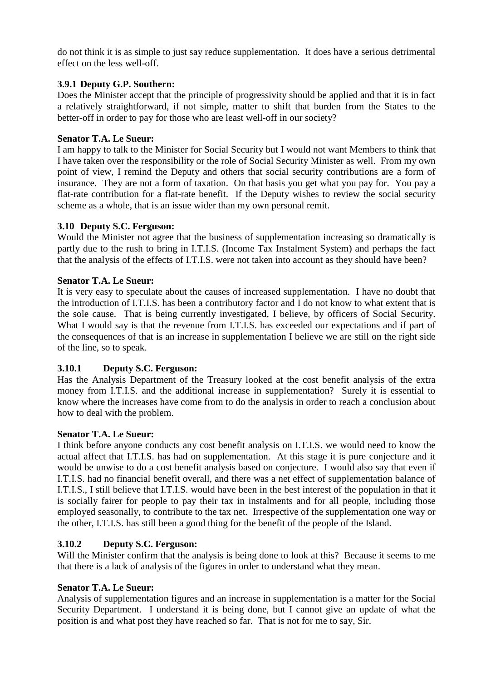do not think it is as simple to just say reduce supplementation. It does have a serious detrimental effect on the less well-off.

## **3.9.1 Deputy G.P. Southern:**

Does the Minister accept that the principle of progressivity should be applied and that it is in fact a relatively straightforward, if not simple, matter to shift that burden from the States to the better-off in order to pay for those who are least well-off in our society?

## **Senator T.A. Le Sueur:**

I am happy to talk to the Minister for Social Security but I would not want Members to think that I have taken over the responsibility or the role of Social Security Minister as well. From my own point of view, I remind the Deputy and others that social security contributions are a form of insurance. They are not a form of taxation. On that basis you get what you pay for. You pay a flat-rate contribution for a flat-rate benefit. If the Deputy wishes to review the social security scheme as a whole, that is an issue wider than my own personal remit.

## **3.10 Deputy S.C. Ferguson:**

Would the Minister not agree that the business of supplementation increasing so dramatically is partly due to the rush to bring in I.T.I.S. (Income Tax Instalment System) and perhaps the fact that the analysis of the effects of I.T.I.S. were not taken into account as they should have been?

## **Senator T.A. Le Sueur:**

It is very easy to speculate about the causes of increased supplementation. I have no doubt that the introduction of I.T.I.S. has been a contributory factor and I do not know to what extent that is the sole cause. That is being currently investigated, I believe, by officers of Social Security. What I would say is that the revenue from I.T.I.S. has exceeded our expectations and if part of the consequences of that is an increase in supplementation I believe we are still on the right side of the line, so to speak.

## **3.10.1 Deputy S.C. Ferguson:**

Has the Analysis Department of the Treasury looked at the cost benefit analysis of the extra money from I.T.I.S. and the additional increase in supplementation? Surely it is essential to know where the increases have come from to do the analysis in order to reach a conclusion about how to deal with the problem.

## **Senator T.A. Le Sueur:**

I think before anyone conducts any cost benefit analysis on I.T.I.S. we would need to know the actual affect that I.T.I.S. has had on supplementation. At this stage it is pure conjecture and it would be unwise to do a cost benefit analysis based on conjecture. I would also say that even if I.T.I.S. had no financial benefit overall, and there was a net effect of supplementation balance of I.T.I.S., I still believe that I.T.I.S. would have been in the best interest of the population in that it is socially fairer for people to pay their tax in instalments and for all people, including those employed seasonally, to contribute to the tax net. Irrespective of the supplementation one way or the other, I.T.I.S. has still been a good thing for the benefit of the people of the Island.

## **3.10.2 Deputy S.C. Ferguson:**

Will the Minister confirm that the analysis is being done to look at this? Because it seems to me that there is a lack of analysis of the figures in order to understand what they mean.

## **Senator T.A. Le Sueur:**

Analysis of supplementation figures and an increase in supplementation is a matter for the Social Security Department. I understand it is being done, but I cannot give an update of what the position is and what post they have reached so far. That is not for me to say, Sir.